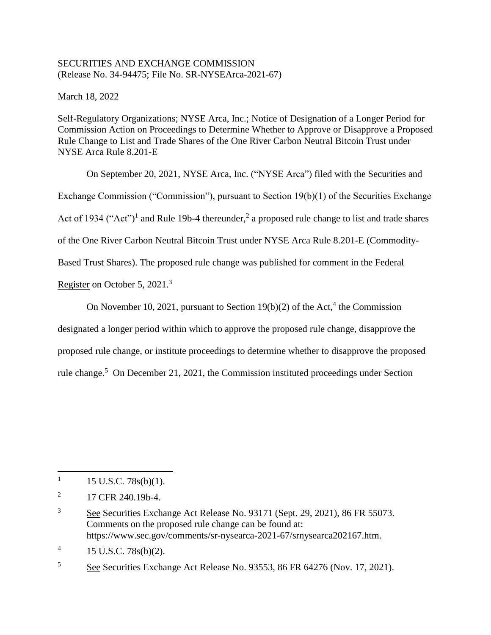## SECURITIES AND EXCHANGE COMMISSION (Release No. 34-94475; File No. SR-NYSEArca-2021-67)

March 18, 2022

Self-Regulatory Organizations; NYSE Arca, Inc.; Notice of Designation of a Longer Period for Commission Action on Proceedings to Determine Whether to Approve or Disapprove a Proposed Rule Change to List and Trade Shares of the One River Carbon Neutral Bitcoin Trust under NYSE Arca Rule 8.201-E

On September 20, 2021, NYSE Arca, Inc. ("NYSE Arca") filed with the Securities and Exchange Commission ("Commission"), pursuant to Section 19(b)(1) of the Securities Exchange Act of 1934 ("Act")<sup>1</sup> and Rule 19b-4 thereunder,<sup>2</sup> a proposed rule change to list and trade shares of the One River Carbon Neutral Bitcoin Trust under NYSE Arca Rule 8.201-E (Commodity-Based Trust Shares). The proposed rule change was published for comment in the Federal

Register on October 5, 2021.<sup>3</sup>

On November 10, 2021, pursuant to Section  $19(b)(2)$  of the Act,<sup>4</sup> the Commission

designated a longer period within which to approve the proposed rule change, disapprove the

proposed rule change, or institute proceedings to determine whether to disapprove the proposed

rule change.<sup>5</sup> On December 21, 2021, the Commission instituted proceedings under Section

 $\overline{a}$ 

4 15 U.S.C. 78s(b)(2).

<sup>5</sup> See Securities Exchange Act Release No. 93553, 86 FR 64276 (Nov. 17, 2021).

<sup>1</sup> 15 U.S.C. 78s(b)(1).

<sup>2</sup> 17 CFR 240.19b-4.

<sup>3</sup> See Securities Exchange Act Release No. 93171 (Sept. 29, 2021), 86 FR 55073. Comments on the proposed rule change can be found at: https://www.sec.gov/comments/sr-nysearca-2021-67/srnysearca202167.htm.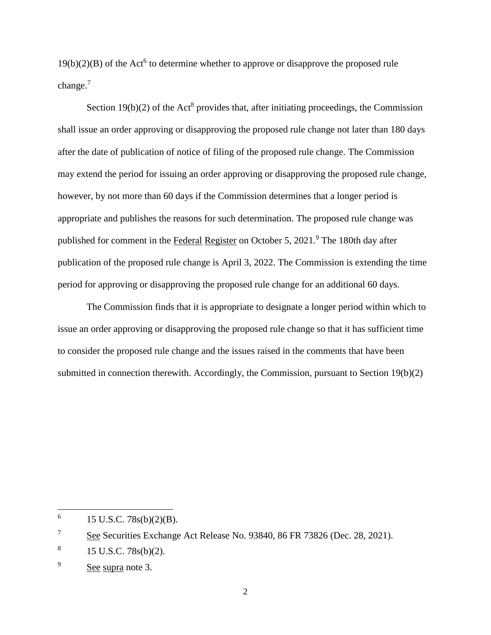$19(b)(2)(B)$  of the Act<sup>6</sup> to determine whether to approve or disapprove the proposed rule change.<sup>7</sup>

Section  $19(b)(2)$  of the Act<sup>8</sup> provides that, after initiating proceedings, the Commission shall issue an order approving or disapproving the proposed rule change not later than 180 days after the date of publication of notice of filing of the proposed rule change. The Commission may extend the period for issuing an order approving or disapproving the proposed rule change, however, by not more than 60 days if the Commission determines that a longer period is appropriate and publishes the reasons for such determination. The proposed rule change was published for comment in the Federal Register on October 5, 2021.<sup>9</sup> The 180th day after publication of the proposed rule change is April 3, 2022. The Commission is extending the time period for approving or disapproving the proposed rule change for an additional 60 days.

The Commission finds that it is appropriate to designate a longer period within which to issue an order approving or disapproving the proposed rule change so that it has sufficient time to consider the proposed rule change and the issues raised in the comments that have been submitted in connection therewith. Accordingly, the Commission, pursuant to Section 19(b)(2)

l

<sup>6</sup> 15 U.S.C. 78s(b)(2)(B).

<sup>&</sup>lt;sup>7</sup> See Securities Exchange Act Release No. 93840, 86 FR 73826 (Dec. 28, 2021).

<sup>8</sup> 15 U.S.C. 78s(b)(2).

<sup>&</sup>lt;sup>9</sup> See supra note 3.